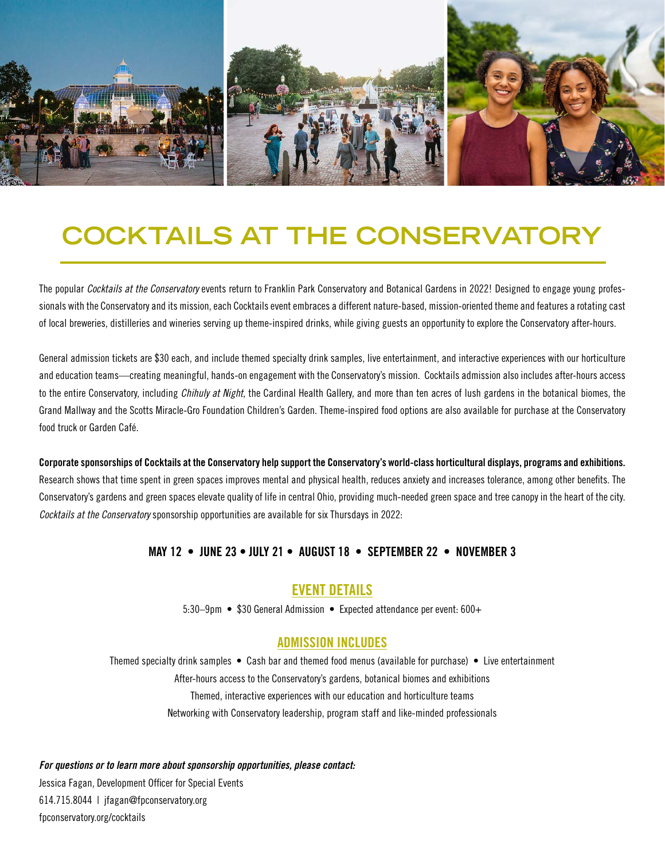

# **COCKTAILS AT THE CONSERVATORY**

The popular *Cocktails at the Conservatory* events return to Franklin Park Conservatory and Botanical Gardens in 2022! Designed to engage young professionals with the Conservatory and its mission, each Cocktails event embraces a different nature-based, mission-oriented theme and features a rotating cast of local breweries, distilleries and wineries serving up theme-inspired drinks, while giving guests an opportunity to explore the Conservatory after-hours.

General admission tickets are \$30 each, and include themed specialty drink samples, live entertainment, and interactive experiences with our horticulture and education teams—creating meaningful, hands-on engagement with the Conservatory's mission. Cocktails admission also includes after-hours access to the entire Conservatory, including *Chihuly at Night*, the Cardinal Health Gallery, and more than ten acres of lush gardens in the botanical biomes, the Grand Mallway and the Scotts Miracle-Gro Foundation Children's Garden. Theme-inspired food options are also available for purchase at the Conservatory food truck or Garden Café.

Corporate sponsorships of Cocktails at the Conservatory help support the Conservatory's world-class horticultural displays, programs and exhibitions. Research shows that time spent in green spaces improves mental and physical health, reduces anxiety and increases tolerance, among other benefits. The Conservatory's gardens and green spaces elevate quality of life in central Ohio, providing much-needed green space and tree canopy in the heart of the city. *Cocktails at the Conservatory* sponsorship opportunities are available for six Thursdays in 2022:

### MAY 12 • JUNE 23 • JULY 21 • AUGUST 18 • SEPTEMBER 22 • NOVEMBER 3

## EVENT DETAILS

5:30–9pm • \$30 General Admission • Expected attendance per event: 600+

### ADMISSION INCLUDES

Themed specialty drink samples • Cash bar and themed food menus (available for purchase) • Live entertainment After-hours access to the Conservatory's gardens, botanical biomes and exhibitions Themed, interactive experiences with our education and horticulture teams Networking with Conservatory leadership, program staff and like-minded professionals

*For questions or to learn more about sponsorship opportunities, please contact:*

Jessica Fagan, Development Officer for Special Events 614.715.8044 | jfagan@fpconservatory.org fpconservatory.org/cocktails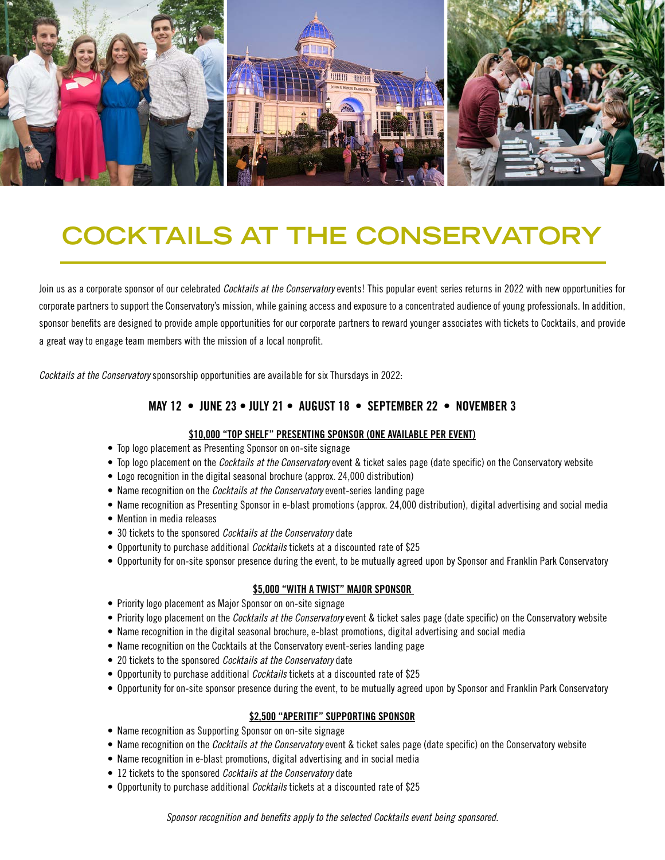

# **COCKTAILS AT THE CONSERVATORY**

Join us as a corporate sponsor of our celebrated *Cocktails at the Conservatory* events! This popular event series returns in 2022 with new opportunities for corporate partners to support the Conservatory's mission, while gaining access and exposure to a concentrated audience of young professionals. In addition, sponsor benefits are designed to provide ample opportunities for our corporate partners to reward younger associates with tickets to Cocktails, and provide a great way to engage team members with the mission of a local nonprofit.

*Cocktails at the Conservatory* sponsorship opportunities are available for six Thursdays in 2022:

### MAY 12 • JUNE 23 • JULY 21 • AUGUST 18 • SEPTEMBER 22 • NOVEMBER 3

#### \$10,000 "TOP SHELF" PRESENTING SPONSOR (ONE AVAILABLE PER EVENT)

- Top logo placement as Presenting Sponsor on on-site signage
- Top logo placement on the *Cocktails at the Conservatory* event & ticket sales page (date specific) on the Conservatory website
- Logo recognition in the digital seasonal brochure (approx. 24,000 distribution)
- Name recognition on the *Cocktails at the Conservatory* event-series landing page
- Name recognition as Presenting Sponsor in e-blast promotions (approx. 24,000 distribution), digital advertising and social media
- Mention in media releases
- 30 tickets to the sponsored *Cocktails at the Conservatory* date
- Opportunity to purchase additional *Cocktails* tickets at a discounted rate of \$25
- Opportunity for on-site sponsor presence during the event, to be mutually agreed upon by Sponsor and Franklin Park Conservatory

#### \$5,000 "WITH A TWIST" MAJOR SPONSOR

- Priority logo placement as Major Sponsor on on-site signage
- Priority logo placement on the *Cocktails at the Conservatory* event & ticket sales page (date specific) on the Conservatory website
- Name recognition in the digital seasonal brochure, e-blast promotions, digital advertising and social media
- Name recognition on the Cocktails at the Conservatory event-series landing page
- 20 tickets to the sponsored *Cocktails at the Conservatory* date
- Opportunity to purchase additional *Cocktails* tickets at a discounted rate of \$25
- Opportunity for on-site sponsor presence during the event, to be mutually agreed upon by Sponsor and Franklin Park Conservatory

#### \$2,500 "APERITIF" SUPPORTING SPONSOR

- Name recognition as Supporting Sponsor on on-site signage
- Name recognition on the *Cocktails at the Conservatory* event & ticket sales page (date specific) on the Conservatory website
- Name recognition in e-blast promotions, digital advertising and in social media
- 12 tickets to the sponsored *Cocktails at the Conservatory* date
- Opportunity to purchase additional *Cocktails* tickets at a discounted rate of \$25